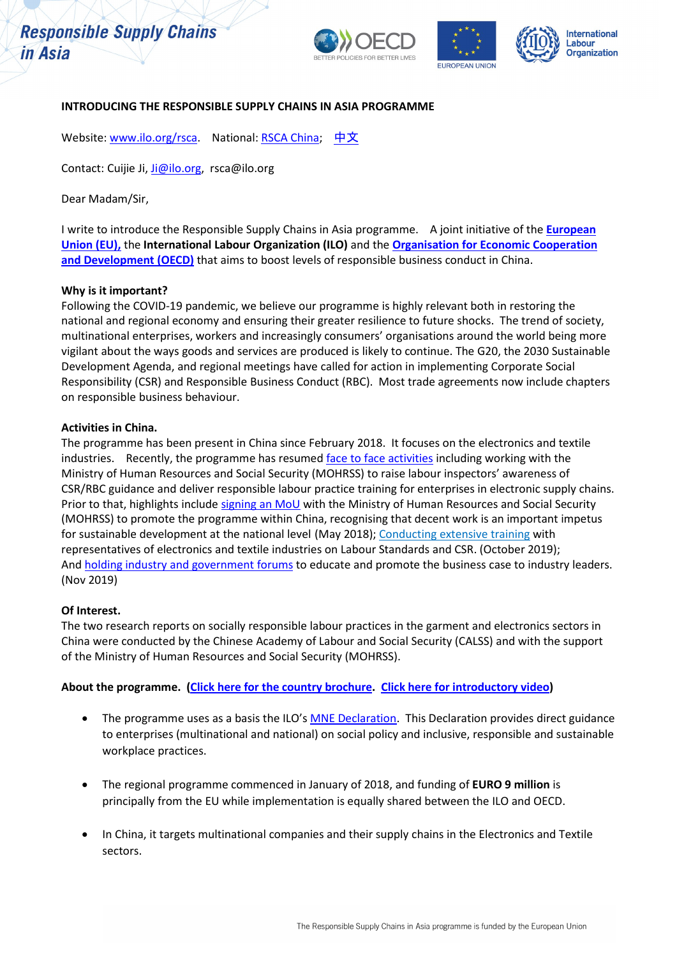# **Responsible Supply Chains** in Asia







### **INTRODUCING THE RESPONSIBLE SUPPLY CHAINS IN ASIA PROGRAMME**

Website[: www.ilo.org/rsca.](http://www.ilo.org/rsca) National[: RSCA China;](https://www.ilo.org/beijing/what-we-do/projects/WCMS_630692/lang--en/index.htm) [中文](https://www.ilo.org/beijing/what-we-do/projects/WCMS_703335/lang--zh/index.htm)

Contact: Cuijie Ji[, Ji@ilo.org,](mailto:Ji@ilo.org) rsca@ilo.org

Dear Madam/Sir,

I write to introduce the Responsible Supply Chains in Asia programme. A joint initiative of the **[European](https://ec.europa.eu/fpi/what-we-do/partnership-instrument-advancing-eus-core-interests_en)  [Union \(EU\),](https://ec.europa.eu/fpi/what-we-do/partnership-instrument-advancing-eus-core-interests_en)** the **International Labour Organization (ILO)** and the **[Organisation for Economic Cooperation](http://mneguidelines.oecd.org/globalpartnerships/)**  [and Development \(OECD\)](http://mneguidelines.oecd.org/globalpartnerships/) that aims to boost levels of responsible business conduct in China.

#### **Why is it important?**

Following the COVID-19 pandemic, we believe our programme is highly relevant both in restoring the national and regional economy and ensuring their greater resilience to future shocks. The trend of society, multinational enterprises, workers and increasingly consumers' organisations around the world being more vigilant about the ways goods and services are produced is likely to continue. The G20, the 2030 Sustainable Development Agenda, and regional meetings have called for action in implementing Corporate Social Responsibility (CSR) and Responsible Business Conduct (RBC). Most trade agreements now include chapters on responsible business behaviour.

#### **Activities in China.**

The programme has been present in China since February 2018. It focuses on the electronics and textile industries. Recently, the programme has resumed [face to face activities](https://staging.ilo.org/beijing/information-resources/public-information/features/WCMS_755231/lang--en/index.htm) including working with the Ministry of Human Resources and Social Security (MOHRSS) to raise labour inspectors' awareness of CSR/RBC guidance and deliver responsible labour practice training for enterprises in electronic supply chains. Prior to that, highlights include signing [an MoU](https://www.ilo.org/beijing/information-resources/public-information/WCMS_630563/lang--en/index.htm) with the Ministry of Human Resources and Social Security (MOHRSS) to promote the programme within China, recognising that decent work is an important impetus for sustainable development at the national level (May 2018); [Conducting extensive training](https://www.ilo.org/beijing/information-resources/public-information/press-releases/WCMS_726956/lang--en/index.htm) with representatives of electronics and textile industries on Labour Standards and CSR. (October 2019); And holding [industry and government forums](https://www.ilo.org/beijing/information-resources/public-information/press-releases/WCMS_731350/lang--en/index.htm) to educate and promote the business case to industry leaders. (Nov 2019)

## **Of Interest.**

The two research reports on socially responsible labour practices in the garment and electronics sectors in China were conducted by the Chinese Academy of Labour and Social Security (CALSS) and with the support of the Ministry of Human Resources and Social Security (MOHRSS).

## **About the programme. [\(Click here for the country brochure.](https://www.ilo.org/asia/info/public/background/WCMS_729350/lang--en/index.htm) [Click here for introductory video\)](https://youtu.be/uzMtJfiQMgA)**

- The programme uses as a basis the ILO's [MNE Declaration.](https://www.ilo.org/empent/areas/mne-declaration/lang--en/index.htm) This Declaration provides direct guidance to enterprises (multinational and national) on social policy and inclusive, responsible and sustainable workplace practices.
- The regional programme commenced in January of 2018, and funding of **EURO 9 million** is principally from the EU while implementation is equally shared between the ILO and OECD.
- In China, it targets multinational companies and their supply chains in the Electronics and Textile sectors.